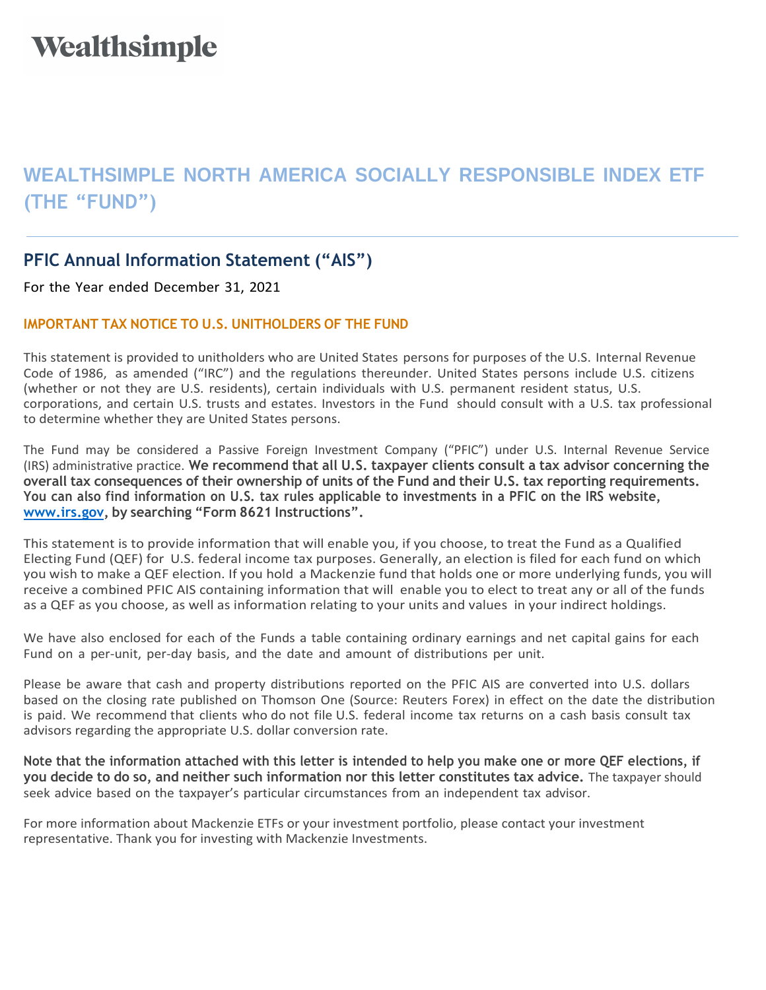## Wealthsimple

## **WEALTHSIMPLE NORTH AMERICA SOCIALLY RESPONSIBLE INDEX ETF (THE "FUND")**

## **PFIC Annual Information Statement ("AIS")**

For the Year ended December 31, 2021

## **IMPORTANT TAX NOTICE TO U.S. UNITHOLDERS OF THE FUND**

This statement is provided to unitholders who are United States persons for purposes of the U.S. Internal Revenue Code of 1986, as amended ("IRC") and the regulations thereunder. United States persons include U.S. citizens (whether or not they are U.S. residents), certain individuals with U.S. permanent resident status, U.S. corporations, and certain U.S. trusts and estates. Investors in the Fund should consult with a U.S. tax professional to determine whether they are United States persons.

The Fund may be considered a Passive Foreign Investment Company ("PFIC") under U.S. Internal Revenue Service (IRS) administrative practice. **We recommend that all U.S. taxpayer clients consult a tax advisor concerning the**  overall tax consequences of their ownership of units of the Fund and their U.S. tax reporting requirements. **You can also find information on U.S. tax rules applicable to investments in a PFIC on the IRS website, [www.irs.gov,](http://www.irs.gov/) by searching "Form 8621 Instructions".**

This statement is to provide information that will enable you, if you choose, to treat the Fund as a Qualified Electing Fund (QEF) for U.S. federal income tax purposes. Generally, an election is filed for each fund on which you wish to make a QEF election. If you hold a Mackenzie fund that holds one or more underlying funds, you will receive a combined PFIC AIS containing information that will enable you to elect to treat any or all of the funds as a QEF as you choose, as well as information relating to your units and values in your indirect holdings.

We have also enclosed for each of the Funds a table containing ordinary earnings and net capital gains for each Fund on a per-unit, per-day basis, and the date and amount of distributions per unit.

Please be aware that cash and property distributions reported on the PFIC AIS are converted into U.S. dollars based on the closing rate published on Thomson One (Source: Reuters Forex) in effect on the date the distribution is paid. We recommend that clients who do not file U.S. federal income tax returns on a cash basis consult tax advisors regarding the appropriate U.S. dollar conversion rate.

**Note that the information attached with this letter is intended to help you make one or more QEF elections, if you decide to do so, and neither such information nor this letter constitutes tax advice.** The taxpayer should seek advice based on the taxpayer's particular circumstances from an independent tax advisor.

For more information about Mackenzie ETFs or your investment portfolio, please contact your investment representative. Thank you for investing with Mackenzie Investments.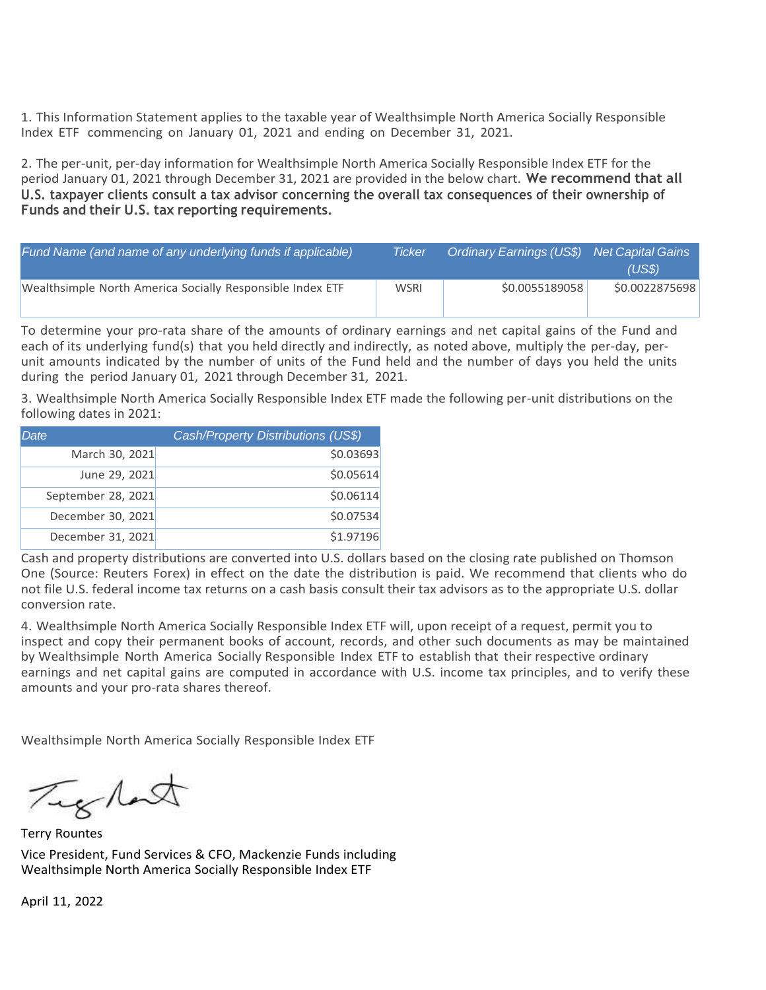1. This Information Statement applies to the taxable year of Wealthsimple North America Socially Responsible Index ETF commencing on January 01, 2021 and ending on December 31, 2021.

2. The per-unit, per-day information for Wealthsimple North America Socially Responsible Index ETF for the period January 01, 2021 through December 31, 2021 are provided in the below chart. **We recommend that all U.S. taxpayer clients consult a tax advisor concerning the overall tax consequences of their ownership of Funds and their U.S. tax reporting requirements.**

| Fund Name (and name of any underlying funds if applicable) | Ticker      | Ordinary Earnings (US\$) Net Capital Gains | (US\$)         |
|------------------------------------------------------------|-------------|--------------------------------------------|----------------|
| Wealthsimple North America Socially Responsible Index ETF  | <b>WSRI</b> | \$0.0055189058                             | \$0.0022875698 |

To determine your pro-rata share of the amounts of ordinary earnings and net capital gains of the Fund and each of its underlying fund(s) that you held directly and indirectly, as noted above, multiply the per-day, perunit amounts indicated by the number of units of the Fund held and the number of days you held the units during the period January 01, 2021 through December 31, 2021.

3. Wealthsimple North America Socially Responsible Index ETF made the following per-unit distributions on the following dates in 2021:

| Date.              | Cash/Property Distributions (US\$) |
|--------------------|------------------------------------|
| March 30, 2021     | \$0.03693                          |
| June 29, 2021      | \$0.05614                          |
| September 28, 2021 | \$0.06114                          |
| December 30, 2021  | \$0.07534                          |
| December 31, 2021  | \$1.97196                          |

Cash and property distributions are converted into U.S. dollars based on the closing rate published on Thomson One (Source: Reuters Forex) in effect on the date the distribution is paid. We recommend that clients who do not file U.S. federal income tax returns on a cash basis consult their tax advisors as to the appropriate U.S. dollar conversion rate.

4. Wealthsimple North America Socially Responsible Index ETF will, upon receipt of a request, permit you to inspect and copy their permanent books of account, records, and other such documents as may be maintained by Wealthsimple North America Socially Responsible Index ETF to establish that their respective ordinary earnings and net capital gains are computed in accordance with U.S. income tax principles, and to verify these amounts and your pro-rata shares thereof.

Wealthsimple North America Socially Responsible Index ETF

Tight

Terry Rountes Vice President, Fund Services & CFO, Mackenzie Funds including Wealthsimple North America Socially Responsible Index ETF

April 11, 2022